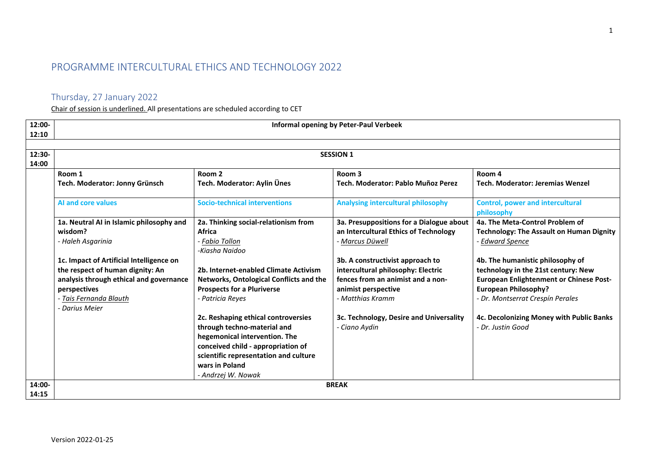## PROGRAMME INTERCULTURAL ETHICS AND TECHNOLOGY 2022

## Thursday, 27 January 2022

Chair of session is underlined. All presentations are scheduled according to CET

| 12:00-<br>12:10 | <b>Informal opening by Peter-Paul Verbeek</b> |                                                |                                           |                                                       |  |  |
|-----------------|-----------------------------------------------|------------------------------------------------|-------------------------------------------|-------------------------------------------------------|--|--|
|                 |                                               |                                                |                                           |                                                       |  |  |
| 12:30-          |                                               |                                                | <b>SESSION 1</b>                          |                                                       |  |  |
| 14:00           |                                               |                                                |                                           |                                                       |  |  |
|                 | Room 1                                        | Room <sub>2</sub>                              | Room <sub>3</sub>                         | Room 4                                                |  |  |
|                 | Tech. Moderator: Jonny Grünsch                | Tech. Moderator: Aylin Ünes                    | Tech. Moderator: Pablo Muñoz Perez        | Tech. Moderator: Jeremias Wenzel                      |  |  |
|                 | <b>AI and core values</b>                     | <b>Socio-technical interventions</b>           | <b>Analysing intercultural philosophy</b> | <b>Control, power and intercultural</b><br>philosophy |  |  |
|                 | 1a. Neutral AI in Islamic philosophy and      | 2a. Thinking social-relationism from           | 3a. Presuppositions for a Dialogue about  | 4a. The Meta-Control Problem of                       |  |  |
|                 | wisdom?                                       | <b>Africa</b>                                  | an Intercultural Ethics of Technology     | <b>Technology: The Assault on Human Dignity</b>       |  |  |
|                 | - Haleh Asgarinia                             | - Fabio Tollon                                 | - Marcus Düwell                           | - Edward Spence                                       |  |  |
|                 |                                               | -Kiasha Naidoo                                 |                                           |                                                       |  |  |
|                 | 1c. Impact of Artificial Intelligence on      |                                                | 3b. A constructivist approach to          | 4b. The humanistic philosophy of                      |  |  |
|                 | the respect of human dignity: An              | 2b. Internet-enabled Climate Activism          | intercultural philosophy: Electric        | technology in the 21st century: New                   |  |  |
|                 | analysis through ethical and governance       | <b>Networks, Ontological Conflicts and the</b> | fences from an animist and a non-         | <b>European Enlightenment or Chinese Post-</b>        |  |  |
|                 | perspectives                                  | <b>Prospects for a Pluriverse</b>              | animist perspective                       | <b>European Philosophy?</b>                           |  |  |
|                 | - Tais Fernanda Blauth                        | - Patricia Reyes                               | - Matthias Kramm                          | - Dr. Montserrat Crespín Perales                      |  |  |
|                 | - Darius Meier                                |                                                |                                           |                                                       |  |  |
|                 |                                               | 2c. Reshaping ethical controversies            | 3c. Technology, Desire and Universality   | 4c. Decolonizing Money with Public Banks              |  |  |
|                 |                                               | through techno-material and                    | - Ciano Aydin                             | - Dr. Justin Good                                     |  |  |
|                 |                                               | hegemonical intervention. The                  |                                           |                                                       |  |  |
|                 |                                               | conceived child - appropriation of             |                                           |                                                       |  |  |
|                 |                                               | scientific representation and culture          |                                           |                                                       |  |  |
|                 |                                               | wars in Poland                                 |                                           |                                                       |  |  |
|                 |                                               | - Andrzej W. Nowak                             |                                           |                                                       |  |  |
| 14:00-          | <b>BREAK</b>                                  |                                                |                                           |                                                       |  |  |
| 14:15           |                                               |                                                |                                           |                                                       |  |  |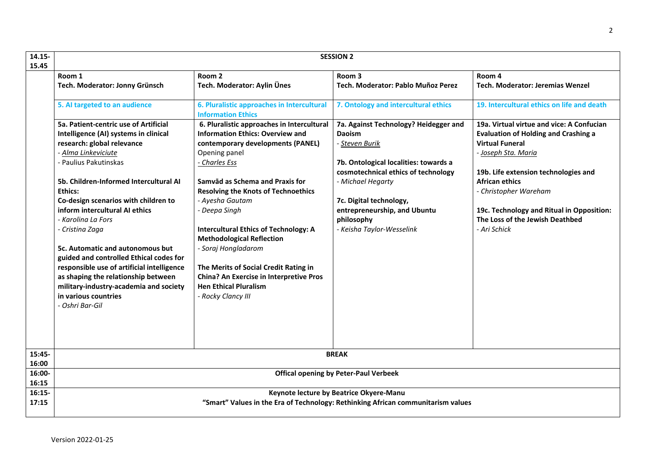| 14.15-<br>15.45 | <b>SESSION 2</b>                                                                                                                                                                                                                                                                                                                                                                                                                                                                                                                                                                                            |                                                                                                                                                                                                                                                                                                                                                                                                                                                                                                                                               |                                                                                                                                                                                                                                                                                     |                                                                                                                                                                                                                                                                                                                                     |
|-----------------|-------------------------------------------------------------------------------------------------------------------------------------------------------------------------------------------------------------------------------------------------------------------------------------------------------------------------------------------------------------------------------------------------------------------------------------------------------------------------------------------------------------------------------------------------------------------------------------------------------------|-----------------------------------------------------------------------------------------------------------------------------------------------------------------------------------------------------------------------------------------------------------------------------------------------------------------------------------------------------------------------------------------------------------------------------------------------------------------------------------------------------------------------------------------------|-------------------------------------------------------------------------------------------------------------------------------------------------------------------------------------------------------------------------------------------------------------------------------------|-------------------------------------------------------------------------------------------------------------------------------------------------------------------------------------------------------------------------------------------------------------------------------------------------------------------------------------|
|                 | Room 1                                                                                                                                                                                                                                                                                                                                                                                                                                                                                                                                                                                                      | Room 2                                                                                                                                                                                                                                                                                                                                                                                                                                                                                                                                        | Room 3                                                                                                                                                                                                                                                                              | Room 4                                                                                                                                                                                                                                                                                                                              |
|                 | Tech. Moderator: Jonny Grünsch                                                                                                                                                                                                                                                                                                                                                                                                                                                                                                                                                                              | Tech. Moderator: Aylin Ünes                                                                                                                                                                                                                                                                                                                                                                                                                                                                                                                   | Tech. Moderator: Pablo Muñoz Perez                                                                                                                                                                                                                                                  | Tech. Moderator: Jeremias Wenzel                                                                                                                                                                                                                                                                                                    |
|                 | 5. Al targeted to an audience                                                                                                                                                                                                                                                                                                                                                                                                                                                                                                                                                                               | 6. Pluralistic approaches in Intercultural<br><b>Information Ethics</b>                                                                                                                                                                                                                                                                                                                                                                                                                                                                       | 7. Ontology and intercultural ethics                                                                                                                                                                                                                                                | 19. Intercultural ethics on life and death                                                                                                                                                                                                                                                                                          |
|                 | 5a. Patient-centric use of Artificial<br>Intelligence (AI) systems in clinical<br>research: global relevance<br>- Alma Linkeviciute<br>- Paulius Pakutinskas<br>5b. Children-Informed Intercultural AI<br><b>Ethics:</b><br>Co-design scenarios with children to<br>inform intercultural AI ethics<br>- Karolina La Fors<br>- Cristina Zaga<br><b>5c. Automatic and autonomous but</b><br>guided and controlled Ethical codes for<br>responsible use of artificial intelligence<br>as shaping the relationship between<br>military-industry-academia and society<br>in various countries<br>- Oshri Bar-Gil | 6. Pluralistic approaches in Intercultural<br><b>Information Ethics: Overview and</b><br>contemporary developments (PANEL)<br>Opening panel<br>- Charles Ess<br>Samvād as Schema and Praxis for<br><b>Resolving the Knots of Technoethics</b><br>- Ayesha Gautam<br>- Deepa Singh<br><b>Intercultural Ethics of Technology: A</b><br><b>Methodological Reflection</b><br>- Soraj Hongladarom<br>The Merits of Social Credit Rating in<br><b>China? An Exercise in Interpretive Pros</b><br><b>Hen Ethical Pluralism</b><br>- Rocky Clancy III | 7a. Against Technology? Heidegger and<br><b>Daoism</b><br>- Steven Burik<br>7b. Ontological localities: towards a<br>cosmotechnical ethics of technology<br>- Michael Hegarty<br>7c. Digital technology,<br>entrepreneurship, and Ubuntu<br>philosophy<br>- Keisha Taylor-Wesselink | 19a. Virtual virtue and vice: A Confucian<br><b>Evaluation of Holding and Crashing a</b><br><b>Virtual Funeral</b><br>- Joseph Sta. Maria<br>19b. Life extension technologies and<br><b>African ethics</b><br>- Christopher Wareham<br>19c. Technology and Ritual in Opposition:<br>The Loss of the Jewish Deathbed<br>- Ari Schick |
|                 |                                                                                                                                                                                                                                                                                                                                                                                                                                                                                                                                                                                                             |                                                                                                                                                                                                                                                                                                                                                                                                                                                                                                                                               |                                                                                                                                                                                                                                                                                     |                                                                                                                                                                                                                                                                                                                                     |
| 15:45-<br>16:00 | <b>BREAK</b>                                                                                                                                                                                                                                                                                                                                                                                                                                                                                                                                                                                                |                                                                                                                                                                                                                                                                                                                                                                                                                                                                                                                                               |                                                                                                                                                                                                                                                                                     |                                                                                                                                                                                                                                                                                                                                     |
| 16:00-<br>16:15 | <b>Offical opening by Peter-Paul Verbeek</b>                                                                                                                                                                                                                                                                                                                                                                                                                                                                                                                                                                |                                                                                                                                                                                                                                                                                                                                                                                                                                                                                                                                               |                                                                                                                                                                                                                                                                                     |                                                                                                                                                                                                                                                                                                                                     |
| $16:15-$        |                                                                                                                                                                                                                                                                                                                                                                                                                                                                                                                                                                                                             |                                                                                                                                                                                                                                                                                                                                                                                                                                                                                                                                               | Keynote lecture by Beatrice Okyere-Manu                                                                                                                                                                                                                                             |                                                                                                                                                                                                                                                                                                                                     |
| 17:15           | "Smart" Values in the Era of Technology: Rethinking African communitarism values                                                                                                                                                                                                                                                                                                                                                                                                                                                                                                                            |                                                                                                                                                                                                                                                                                                                                                                                                                                                                                                                                               |                                                                                                                                                                                                                                                                                     |                                                                                                                                                                                                                                                                                                                                     |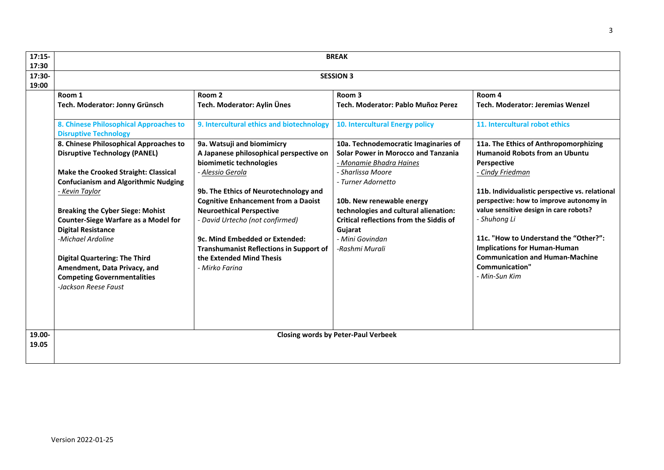| $17:15-$<br>17:30 | <b>BREAK</b>                                                                                                                                                                                                                                                                                                                                                                                                                                                                     |                                                                                                                                                                                                                                                                                                                                                                                                                     |                                                                                                                                                                                                                                                                                                                                  |                                                                                                                                                                                                                                                                                                                                                                                                                                        |
|-------------------|----------------------------------------------------------------------------------------------------------------------------------------------------------------------------------------------------------------------------------------------------------------------------------------------------------------------------------------------------------------------------------------------------------------------------------------------------------------------------------|---------------------------------------------------------------------------------------------------------------------------------------------------------------------------------------------------------------------------------------------------------------------------------------------------------------------------------------------------------------------------------------------------------------------|----------------------------------------------------------------------------------------------------------------------------------------------------------------------------------------------------------------------------------------------------------------------------------------------------------------------------------|----------------------------------------------------------------------------------------------------------------------------------------------------------------------------------------------------------------------------------------------------------------------------------------------------------------------------------------------------------------------------------------------------------------------------------------|
| 17:30-<br>19:00   | <b>SESSION 3</b>                                                                                                                                                                                                                                                                                                                                                                                                                                                                 |                                                                                                                                                                                                                                                                                                                                                                                                                     |                                                                                                                                                                                                                                                                                                                                  |                                                                                                                                                                                                                                                                                                                                                                                                                                        |
|                   | Room 1<br>Tech. Moderator: Jonny Grünsch                                                                                                                                                                                                                                                                                                                                                                                                                                         | Room <sub>2</sub><br>Tech. Moderator: Aylin Ünes                                                                                                                                                                                                                                                                                                                                                                    | Room <sub>3</sub><br>Tech. Moderator: Pablo Muñoz Perez                                                                                                                                                                                                                                                                          | Room 4<br><b>Tech. Moderator: Jeremias Wenzel</b>                                                                                                                                                                                                                                                                                                                                                                                      |
|                   | 8. Chinese Philosophical Approaches to<br><b>Disruptive Technology</b>                                                                                                                                                                                                                                                                                                                                                                                                           | 9. Intercultural ethics and biotechnology                                                                                                                                                                                                                                                                                                                                                                           | 10. Intercultural Energy policy                                                                                                                                                                                                                                                                                                  | 11. Intercultural robot ethics                                                                                                                                                                                                                                                                                                                                                                                                         |
|                   | 8. Chinese Philosophical Approaches to<br><b>Disruptive Technology (PANEL)</b><br><b>Make the Crooked Straight: Classical</b><br><b>Confucianism and Algorithmic Nudging</b><br>- Kevin Taylor<br><b>Breaking the Cyber Siege: Mohist</b><br><b>Counter-Siege Warfare as a Model for</b><br><b>Digital Resistance</b><br>-Michael Ardoline<br><b>Digital Quartering: The Third</b><br>Amendment, Data Privacy, and<br><b>Competing Governmentalities</b><br>-Jackson Reese Faust | 9a. Watsuji and biomimicry<br>A Japanese philosophical perspective on<br>biomimetic technologies<br>- Alessio Gerola<br>9b. The Ethics of Neurotechnology and<br><b>Cognitive Enhancement from a Daoist</b><br><b>Neuroethical Perspective</b><br>- David Urtecho (not confirmed)<br>9c. Mind Embedded or Extended:<br><b>Transhumanist Reflections in Support of</b><br>the Extended Mind Thesis<br>- Mirko Farina | 10a. Technodemocratic Imaginaries of<br><b>Solar Power in Morocco and Tanzania</b><br>- Monamie Bhadra Haines<br>- Sharlissa Moore<br>- Turner Adornetto<br>10b. New renewable energy<br>technologies and cultural alienation:<br><b>Critical reflections from the Siddis of</b><br>Gujarat<br>- Mini Govindan<br>-Rashmi Murali | 11a. The Ethics of Anthropomorphizing<br><b>Humanoid Robots from an Ubuntu</b><br>Perspective<br>- Cindy Friedman<br>11b. Individualistic perspective vs. relational<br>perspective: how to improve autonomy in<br>value sensitive design in care robots?<br>- Shuhong Li<br>11c. "How to Understand the "Other?":<br><b>Implications for Human-Human</b><br><b>Communication and Human-Machine</b><br>Communication"<br>- Min-Sun Kim |
| 19.00-            |                                                                                                                                                                                                                                                                                                                                                                                                                                                                                  | <b>Closing words by Peter-Paul Verbeek</b>                                                                                                                                                                                                                                                                                                                                                                          |                                                                                                                                                                                                                                                                                                                                  |                                                                                                                                                                                                                                                                                                                                                                                                                                        |
| 19.05             |                                                                                                                                                                                                                                                                                                                                                                                                                                                                                  |                                                                                                                                                                                                                                                                                                                                                                                                                     |                                                                                                                                                                                                                                                                                                                                  |                                                                                                                                                                                                                                                                                                                                                                                                                                        |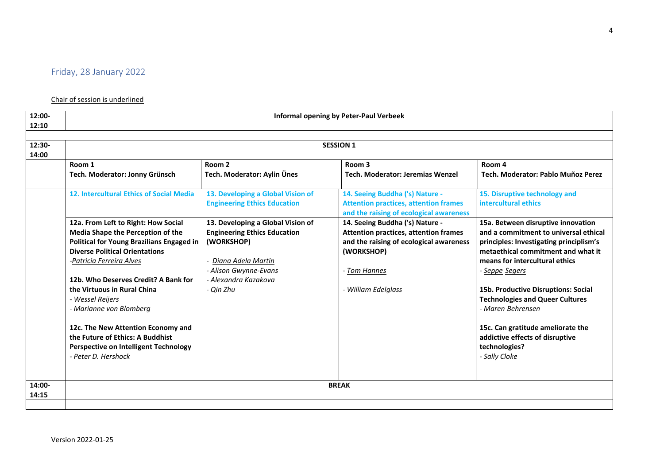## Chair of session is underlined

| 12:00-          | <b>Informal opening by Peter-Paul Verbeek</b>                                                                                                 |                                                                          |                                                                                                                            |                                                                                                        |
|-----------------|-----------------------------------------------------------------------------------------------------------------------------------------------|--------------------------------------------------------------------------|----------------------------------------------------------------------------------------------------------------------------|--------------------------------------------------------------------------------------------------------|
| 12:10           |                                                                                                                                               |                                                                          |                                                                                                                            |                                                                                                        |
| 12:30-          | <b>SESSION 1</b>                                                                                                                              |                                                                          |                                                                                                                            |                                                                                                        |
| 14:00           | Room 1<br>Room <sub>2</sub><br>Room 4<br>Room 3                                                                                               |                                                                          |                                                                                                                            |                                                                                                        |
|                 | Tech. Moderator: Jonny Grünsch                                                                                                                | Tech. Moderator: Aylin Ünes                                              | <b>Tech. Moderator: Jeremias Wenzel</b>                                                                                    | Tech. Moderator: Pablo Muñoz Perez                                                                     |
|                 | 12. Intercultural Ethics of Social Media                                                                                                      | 13. Developing a Global Vision of<br><b>Engineering Ethics Education</b> | 14. Seeing Buddha ('s) Nature -<br><b>Attention practices, attention frames</b><br>and the raising of ecological awareness | 15. Disruptive technology and<br>intercultural ethics                                                  |
|                 | 12a. From Left to Right: How Social<br>Media Shape the Perception of the                                                                      | 13. Developing a Global Vision of<br><b>Engineering Ethics Education</b> | 14. Seeing Buddha ('s) Nature -<br><b>Attention practices, attention frames</b>                                            | 15a. Between disruptive innovation<br>and a commitment to universal ethical                            |
|                 | <b>Political for Young Brazilians Engaged in</b>                                                                                              | (WORKSHOP)                                                               | and the raising of ecological awareness                                                                                    | principles: Investigating principlism's                                                                |
|                 | <b>Diverse Political Orientations</b>                                                                                                         |                                                                          | (WORKSHOP)                                                                                                                 | metaethical commitment and what it                                                                     |
|                 | -Patricia Ferreira Alves                                                                                                                      | Diana Adela Martin                                                       |                                                                                                                            | means for intercultural ethics                                                                         |
|                 |                                                                                                                                               | - Alison Gwynne-Evans                                                    | - Tom Hannes                                                                                                               | - <u>Seppe</u> Segers                                                                                  |
|                 | 12b. Who Deserves Credit? A Bank for                                                                                                          | - Alexandra Kazakova                                                     |                                                                                                                            |                                                                                                        |
|                 | the Virtuous in Rural China                                                                                                                   | - Qin Zhu                                                                | - William Edelglass                                                                                                        | 15b. Productive Disruptions: Social                                                                    |
|                 | - Wessel Reijers                                                                                                                              |                                                                          |                                                                                                                            | <b>Technologies and Queer Cultures</b>                                                                 |
|                 | - Marianne von Blomberg                                                                                                                       |                                                                          |                                                                                                                            | - Maren Behrensen                                                                                      |
|                 | 12c. The New Attention Economy and<br>the Future of Ethics: A Buddhist<br><b>Perspective on Intelligent Technology</b><br>- Peter D. Hershock |                                                                          |                                                                                                                            | 15c. Can gratitude ameliorate the<br>addictive effects of disruptive<br>technologies?<br>- Sally Cloke |
|                 |                                                                                                                                               |                                                                          |                                                                                                                            |                                                                                                        |
| 14:00-<br>14:15 | <b>BREAK</b>                                                                                                                                  |                                                                          |                                                                                                                            |                                                                                                        |
|                 |                                                                                                                                               |                                                                          |                                                                                                                            |                                                                                                        |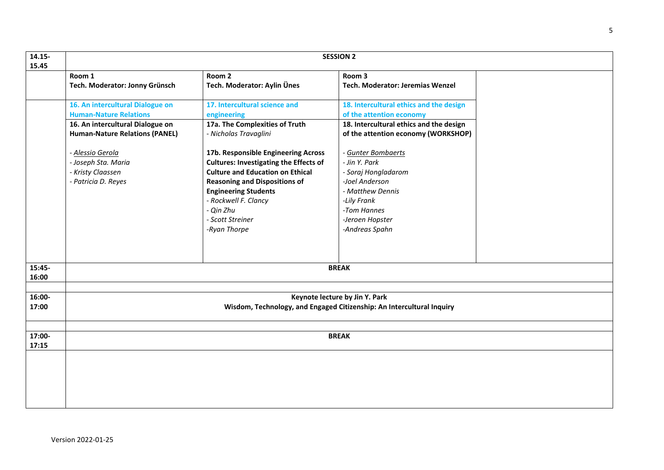| 14.15-<br><b>SESSION 2</b><br>15.45 |                                                                                                         |                                                                                                                                                                                                                                                                                 |                                                                                                                                                                     |  |
|-------------------------------------|---------------------------------------------------------------------------------------------------------|---------------------------------------------------------------------------------------------------------------------------------------------------------------------------------------------------------------------------------------------------------------------------------|---------------------------------------------------------------------------------------------------------------------------------------------------------------------|--|
|                                     | Room 1<br>Tech. Moderator: Jonny Grünsch                                                                | Room 2<br>Tech. Moderator: Aylin Ünes                                                                                                                                                                                                                                           | Room 3<br>Tech. Moderator: Jeremias Wenzel                                                                                                                          |  |
|                                     | 16. An intercultural Dialogue on<br><b>Human-Nature Relations</b>                                       | 17. Intercultural science and<br>engineering                                                                                                                                                                                                                                    | 18. Intercultural ethics and the design<br>of the attention economy                                                                                                 |  |
|                                     | 16. An intercultural Dialogue on<br><b>Human-Nature Relations (PANEL)</b>                               | 17a. The Complexities of Truth<br>- Nicholas Travaglini                                                                                                                                                                                                                         | 18. Intercultural ethics and the design<br>of the attention economy (WORKSHOP)                                                                                      |  |
|                                     | - Alessio Gerola<br>- Joseph Sta. Maria<br>- Kristy Claassen<br>- Patricia D. Reyes                     | 17b. Responsible Engineering Across<br><b>Cultures: Investigating the Effects of</b><br><b>Culture and Education on Ethical</b><br><b>Reasoning and Dispositions of</b><br><b>Engineering Students</b><br>- Rockwell F. Clancy<br>- Qin Zhu<br>- Scott Streiner<br>-Ryan Thorpe | - Gunter Bombaerts<br>- Jin Y. Park<br>- Soraj Hongladarom<br>-Joel Anderson<br>- Matthew Dennis<br>-Lily Frank<br>-Tom Hannes<br>-Jeroen Hopster<br>-Andreas Spahn |  |
| 15:45-<br>16:00                     | <b>BREAK</b>                                                                                            |                                                                                                                                                                                                                                                                                 |                                                                                                                                                                     |  |
| 16:00-<br>17:00                     | Keynote lecture by Jin Y. Park<br>Wisdom, Technology, and Engaged Citizenship: An Intercultural Inquiry |                                                                                                                                                                                                                                                                                 |                                                                                                                                                                     |  |
| 17:00-<br>17:15                     | <b>BREAK</b>                                                                                            |                                                                                                                                                                                                                                                                                 |                                                                                                                                                                     |  |
|                                     |                                                                                                         |                                                                                                                                                                                                                                                                                 |                                                                                                                                                                     |  |
|                                     |                                                                                                         |                                                                                                                                                                                                                                                                                 |                                                                                                                                                                     |  |